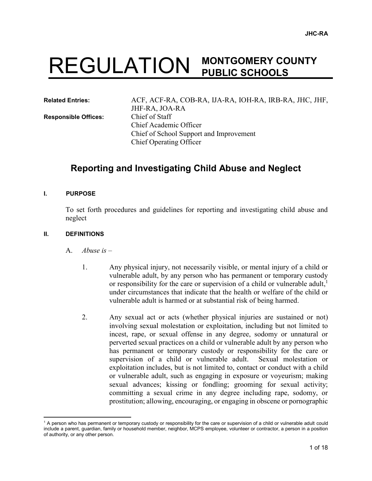# REGULATION **MONTGOMERY COUNTY PUBLIC SCHOOLS**

**Responsible Offices:** Chief of Staff

**Related Entries:** ACF, ACF-RA, COB-RA, IJA-RA, IOH-RA, IRB-RA, JHC, JHF, JHF-RA, JOA-RA Chief Academic Officer Chief of School Support and Improvement Chief Operating Officer

## **Reporting and Investigating Child Abuse and Neglect**

#### **I. PURPOSE**

To set forth procedures and guidelines for reporting and investigating child abuse and neglect

#### **II. DEFINITIONS**

- A. *Abuse is –*
	- 1. Any physical injury, not necessarily visible, or mental injury of a child or vulnerable adult, by any person who has permanent or temporary custody or responsibility for the care or supervision of a child or vulnerable adult,<sup>1</sup> under circumstances that indicate that the health or welfare of the child or vulnerable adult is harmed or at substantial risk of being harmed.
	- 2. Any sexual act or acts (whether physical injuries are sustained or not) involving sexual molestation or exploitation, including but not limited to incest, rape, or sexual offense in any degree, sodomy or unnatural or perverted sexual practices on a child or vulnerable adult by any person who has permanent or temporary custody or responsibility for the care or supervision of a child or vulnerable adult. Sexual molestation or exploitation includes, but is not limited to, contact or conduct with a child or vulnerable adult, such as engaging in exposure or voyeurism; making sexual advances; kissing or fondling; grooming for sexual activity; committing a sexual crime in any degree including rape, sodomy, or prostitution; allowing, encouraging, or engaging in obscene or pornographic

 $\overline{\phantom{a}}$ <sup>1</sup> A person who has permanent or temporary custody or responsibility for the care or supervision of a child or vulnerable adult could include a parent, guardian, family or household member, neighbor, MCPS employee, volunteer or contractor, a person in a position of authority, or any other person.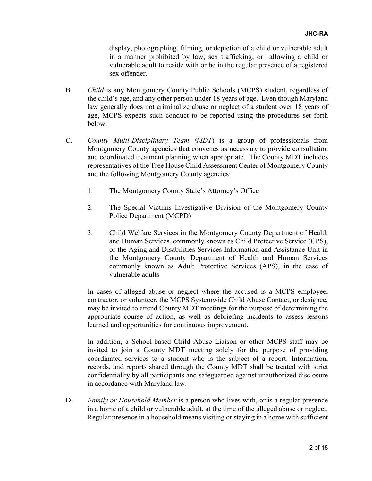display, photographing, filming, or depiction of a child or vulnerable adult in a manner prohibited by law; sex trafficking; or allowing a child or vulnerable adult to reside with or be in the regular presence of a registered sex offender.

- B*. Child* is any Montgomery County Public Schools (MCPS) student, regardless of the child's age, and any other person under 18 years of age. Even though Maryland law generally does not criminalize abuse or neglect of a student over 18 years of age, MCPS expects such conduct to be reported using the procedures set forth below.
- C. *County Multi-Disciplinary Team (MDT*) is a group of professionals from Montgomery County agencies that convenes as necessary to provide consultation and coordinated treatment planning when appropriate. The County MDT includes representatives of the Tree House Child Assessment Center of Montgomery County and the following Montgomery County agencies:
	- 1. The Montgomery County State's Attorney's Office
	- 2. The Special Victims Investigative Division of the Montgomery County Police Department (MCPD)
	- 3. Child Welfare Services in the Montgomery County Department of Health and Human Services, commonly known as Child Protective Service (CPS), or the Aging and Disabilities Services Information and Assistance Unit in the Montgomery County Department of Health and Human Services commonly known as Adult Protective Services (APS), in the case of vulnerable adults

In cases of alleged abuse or neglect where the accused is a MCPS employee, contractor, or volunteer, the MCPS Systemwide Child Abuse Contact, or designee, may be invited to attend County MDT meetings for the purpose of determining the appropriate course of action, as well as debriefing incidents to assess lessons learned and opportunities for continuous improvement.

In addition, a School-based Child Abuse Liaison or other MCPS staff may be invited to join a County MDT meeting solely for the purpose of providing coordinated services to a student who is the subject of a report. Information, records, and reports shared through the County MDT shall be treated with strict confidentiality by all participants and safeguarded against unauthorized disclosure in accordance with Maryland law.

D. *Family or Household Member* is a person who lives with, or is a regular presence in a home of a child or vulnerable adult, at the time of the alleged abuse or neglect. Regular presence in a household means visiting or staying in a home with sufficient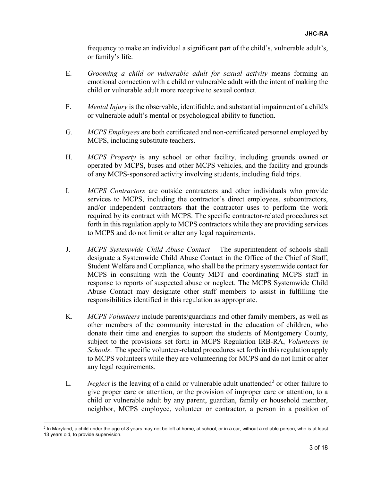frequency to make an individual a significant part of the child's, vulnerable adult's, or family's life.

- E. *Grooming a child or vulnerable adult for sexual activity* means forming an emotional connection with a child or vulnerable adult with the intent of making the child or vulnerable adult more receptive to sexual contact.
- F. *Mental Injury* is the observable, identifiable, and substantial impairment of a child's or vulnerable adult's mental or psychological ability to function.
- G. *MCPS Employees* are both certificated and non-certificated personnel employed by MCPS, including substitute teachers.
- H. *MCPS Property* is any school or other facility, including grounds owned or operated by MCPS, buses and other MCPS vehicles, and the facility and grounds of any MCPS-sponsored activity involving students, including field trips.
- I. *MCPS Contractors* are outside contractors and other individuals who provide services to MCPS, including the contractor's direct employees, subcontractors, and/or independent contractors that the contractor uses to perform the work required by its contract with MCPS. The specific contractor-related procedures set forth in this regulation apply to MCPS contractors while they are providing services to MCPS and do not limit or alter any legal requirements.
- J. *MCPS Systemwide Child Abuse Contact* The superintendent of schools shall designate a Systemwide Child Abuse Contact in the Office of the Chief of Staff, Student Welfare and Compliance, who shall be the primary systemwide contact for MCPS in consulting with the County MDT and coordinating MCPS staff in response to reports of suspected abuse or neglect. The MCPS Systemwide Child Abuse Contact may designate other staff members to assist in fulfilling the responsibilities identified in this regulation as appropriate.
- K. *MCPS Volunteers* include parents/guardians and other family members, as well as other members of the community interested in the education of children, who donate their time and energies to support the students of Montgomery County, subject to the provisions set forth in MCPS Regulation IRB-RA, *Volunteers in Schools*. The specific volunteer-related procedures set forth in this regulation apply to MCPS volunteers while they are volunteering for MCPS and do not limit or alter any legal requirements.
- L. Neglect is the leaving of a child or vulnerable adult unattended<sup>2</sup> or other failure to give proper care or attention, or the provision of improper care or attention, to a child or vulnerable adult by any parent, guardian, family or household member, neighbor, MCPS employee, volunteer or contractor, a person in a position of

 2 In Maryland, a child under the age of 8 years may not be left at home, at school, or in a car, without a reliable person, who is at least 13 years old, to provide supervision.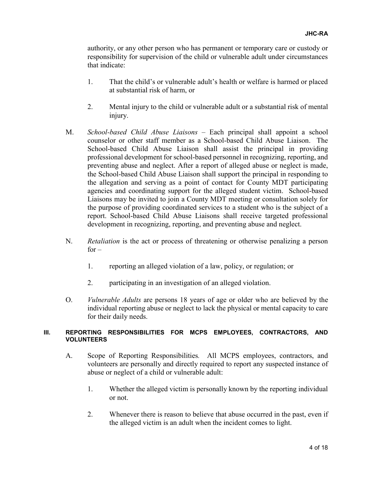authority, or any other person who has permanent or temporary care or custody or responsibility for supervision of the child or vulnerable adult under circumstances that indicate:

- 1. That the child's or vulnerable adult's health or welfare is harmed or placed at substantial risk of harm, or
- 2. Mental injury to the child or vulnerable adult or a substantial risk of mental injury.
- M. *School-based Child Abuse Liaisons* Each principal shall appoint a school counselor or other staff member as a School-based Child Abuse Liaison. The School-based Child Abuse Liaison shall assist the principal in providing professional development for school-based personnel in recognizing, reporting, and preventing abuse and neglect. After a report of alleged abuse or neglect is made, the School-based Child Abuse Liaison shall support the principal in responding to the allegation and serving as a point of contact for County MDT participating agencies and coordinating support for the alleged student victim. School-based Liaisons may be invited to join a County MDT meeting or consultation solely for the purpose of providing coordinated services to a student who is the subject of a report. School-based Child Abuse Liaisons shall receive targeted professional development in recognizing, reporting, and preventing abuse and neglect.
- N. *Retaliation* is the act or process of threatening or otherwise penalizing a person  $for -$ 
	- 1. reporting an alleged violation of a law, policy, or regulation; or
	- 2. participating in an investigation of an alleged violation.
- O. *Vulnerable Adults* are persons 18 years of age or older who are believed by the individual reporting abuse or neglect to lack the physical or mental capacity to care for their daily needs.

#### **III. REPORTING RESPONSIBILITIES FOR MCPS EMPLOYEES, CONTRACTORS, AND VOLUNTEERS**

- A. Scope of Reporting Responsibilities*.* All MCPS employees, contractors, and volunteers are personally and directly required to report any suspected instance of abuse or neglect of a child or vulnerable adult:
	- 1. Whether the alleged victim is personally known by the reporting individual or not.
	- 2. Whenever there is reason to believe that abuse occurred in the past, even if the alleged victim is an adult when the incident comes to light.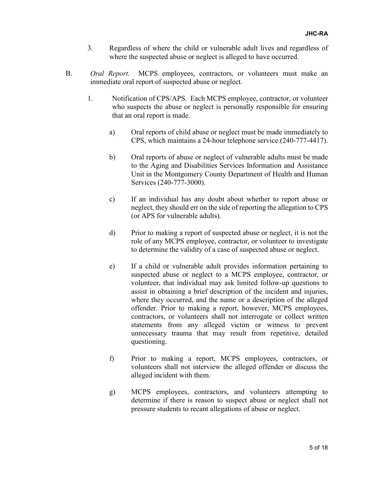- 3. Regardless of where the child or vulnerable adult lives and regardless of where the suspected abuse or neglect is alleged to have occurred.
- B. *Oral Report.* MCPS employees, contractors, or volunteers must make an immediate oral report of suspected abuse or neglect.
	- 1. Notification of CPS/APS. Each MCPS employee, contractor, or volunteer who suspects the abuse or neglect is personally responsible for ensuring that an oral report is made.
		- a) Oral reports of child abuse or neglect must be made immediately to CPS, which maintains a 24-hour telephone service (240-777-4417).
		- b) Oral reports of abuse or neglect of vulnerable adults must be made to the Aging and Disabilities Services Information and Assistance Unit in the Montgomery County Department of Health and Human Services (240-777-3000).
		- c) If an individual has any doubt about whether to report abuse or neglect, they should err on the side of reporting the allegation to CPS (or APS for vulnerable adults).
		- d) Prior to making a report of suspected abuse or neglect, it is not the role of any MCPS employee, contractor, or volunteer to investigate to determine the validity of a case of suspected abuse or neglect.
		- e) If a child or vulnerable adult provides information pertaining to suspected abuse or neglect to a MCPS employee, contractor, or volunteer, that individual may ask limited follow-up questions to assist in obtaining a brief description of the incident and injuries, where they occurred, and the name or a description of the alleged offender. Prior to making a report, however, MCPS employees, contractors, or volunteers shall not interrogate or collect written statements from any alleged victim or witness to prevent unnecessary trauma that may result from repetitive, detailed questioning.
		- f) Prior to making a report, MCPS employees, contractors, or volunteers shall not interview the alleged offender or discuss the alleged incident with them.
		- g) MCPS employees, contractors, and volunteers attempting to determine if there is reason to suspect abuse or neglect shall not pressure students to recant allegations of abuse or neglect.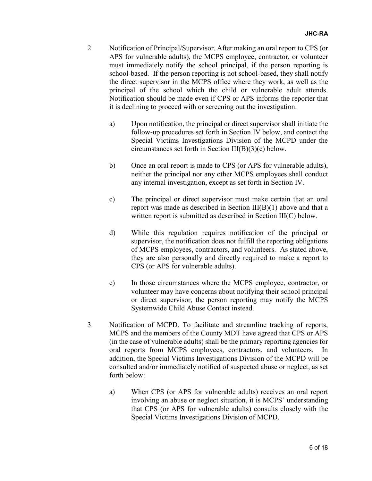- 2. Notification of Principal/Supervisor. After making an oral report to CPS (or APS for vulnerable adults), the MCPS employee, contractor, or volunteer must immediately notify the school principal, if the person reporting is school-based. If the person reporting is not school-based, they shall notify the direct supervisor in the MCPS office where they work, as well as the principal of the school which the child or vulnerable adult attends. Notification should be made even if CPS or APS informs the reporter that it is declining to proceed with or screening out the investigation.
	- a) Upon notification, the principal or direct supervisor shall initiate the follow-up procedures set forth in Section IV below, and contact the Special Victims Investigations Division of the MCPD under the circumstances set forth in Section III(B)(3)(c) below.
	- b) Once an oral report is made to CPS (or APS for vulnerable adults), neither the principal nor any other MCPS employees shall conduct any internal investigation, except as set forth in Section IV.
	- c) The principal or direct supervisor must make certain that an oral report was made as described in Section III(B)(1) above and that a written report is submitted as described in Section III(C) below.
	- d) While this regulation requires notification of the principal or supervisor, the notification does not fulfill the reporting obligations of MCPS employees, contractors, and volunteers. As stated above, they are also personally and directly required to make a report to CPS (or APS for vulnerable adults).
	- e) In those circumstances where the MCPS employee, contractor, or volunteer may have concerns about notifying their school principal or direct supervisor, the person reporting may notify the MCPS Systemwide Child Abuse Contact instead.
- 3. Notification of MCPD. To facilitate and streamline tracking of reports, MCPS and the members of the County MDT have agreed that CPS or APS (in the case of vulnerable adults) shall be the primary reporting agencies for oral reports from MCPS employees, contractors, and volunteers. In addition, the Special Victims Investigations Division of the MCPD will be consulted and/or immediately notified of suspected abuse or neglect, as set forth below:
	- a) When CPS (or APS for vulnerable adults) receives an oral report involving an abuse or neglect situation, it is MCPS' understanding that CPS (or APS for vulnerable adults) consults closely with the Special Victims Investigations Division of MCPD.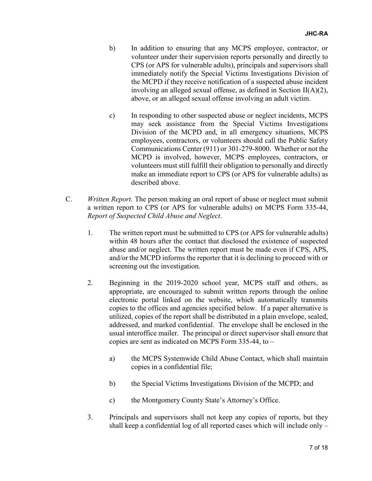- b) In addition to ensuring that any MCPS employee, contractor, or volunteer under their supervision reports personally and directly to CPS (or APS for vulnerable adults), principals and supervisors shall immediately notify the Special Victims Investigations Division of the MCPD if they receive notification of a suspected abuse incident involving an alleged sexual offense, as defined in Section II(A)(2), above, or an alleged sexual offense involving an adult victim.
- c) In responding to other suspected abuse or neglect incidents, MCPS may seek assistance from the Special Victims Investigations Division of the MCPD and, in all emergency situations, MCPS employees, contractors, or volunteers should call the Public Safety Communications Center (911) or 301-279-8000. Whether or not the MCPD is involved, however, MCPS employees, contractors, or volunteers must still fulfill their obligation to personally and directly make an immediate report to CPS (or APS for vulnerable adults) as described above.
- C. *Written Report.* The person making an oral report of abuse or neglect must submit a written report to CPS (or APS for vulnerable adults) on MCPS Form 335-44, *Report of Suspected Child Abuse and Neglect*.
	- 1. The written report must be submitted to CPS (or APS for vulnerable adults) within 48 hours after the contact that disclosed the existence of suspected abuse and/or neglect. The written report must be made even if CPS, APS, and/or the MCPD informs the reporter that it is declining to proceed with or screening out the investigation.
	- 2. Beginning in the 2019-2020 school year, MCPS staff and others, as appropriate, are encouraged to submit written reports through the online electronic portal linked on the website, which automatically transmits copies to the offices and agencies specified below. If a paper alternative is utilized, copies of the report shall be distributed in a plain envelope, sealed, addressed, and marked confidential. The envelope shall be enclosed in the usual interoffice mailer. The principal or direct supervisor shall ensure that copies are sent as indicated on MCPS Form 335-44, to –
		- a) the MCPS Systemwide Child Abuse Contact, which shall maintain copies in a confidential file;
		- b) the Special Victims Investigations Division of the MCPD; and
		- c) the Montgomery County State's Attorney's Office.
	- 3. Principals and supervisors shall not keep any copies of reports, but they shall keep a confidential log of all reported cases which will include only –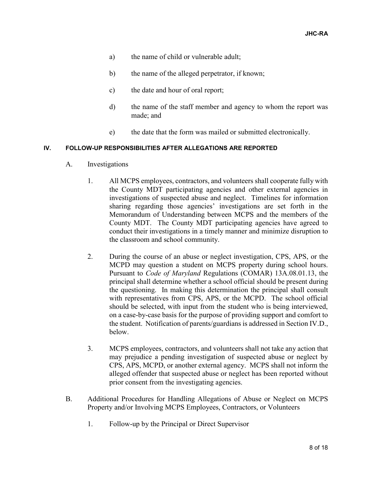- a) the name of child or vulnerable adult;
- b) the name of the alleged perpetrator, if known;
- c) the date and hour of oral report;
- d) the name of the staff member and agency to whom the report was made; and
- e) the date that the form was mailed or submitted electronically.

#### **IV. FOLLOW-UP RESPONSIBILITIES AFTER ALLEGATIONS ARE REPORTED**

- A. Investigations
	- 1. All MCPS employees, contractors, and volunteers shall cooperate fully with the County MDT participating agencies and other external agencies in investigations of suspected abuse and neglect. Timelines for information sharing regarding those agencies' investigations are set forth in the Memorandum of Understanding between MCPS and the members of the County MDT. The County MDT participating agencies have agreed to conduct their investigations in a timely manner and minimize disruption to the classroom and school community.
	- 2. During the course of an abuse or neglect investigation, CPS, APS, or the MCPD may question a student on MCPS property during school hours. Pursuant to *Code of Maryland* Regulations (COMAR) 13A.08.01.13, the principal shall determine whether a school official should be present during the questioning. In making this determination the principal shall consult with representatives from CPS, APS, or the MCPD. The school official should be selected, with input from the student who is being interviewed, on a case-by-case basis for the purpose of providing support and comfort to the student. Notification of parents/guardians is addressed in Section IV.D., below.
	- 3. MCPS employees, contractors, and volunteers shall not take any action that may prejudice a pending investigation of suspected abuse or neglect by CPS, APS, MCPD, or another external agency. MCPS shall not inform the alleged offender that suspected abuse or neglect has been reported without prior consent from the investigating agencies.
- B. Additional Procedures for Handling Allegations of Abuse or Neglect on MCPS Property and/or Involving MCPS Employees, Contractors, or Volunteers
	- 1. Follow-up by the Principal or Direct Supervisor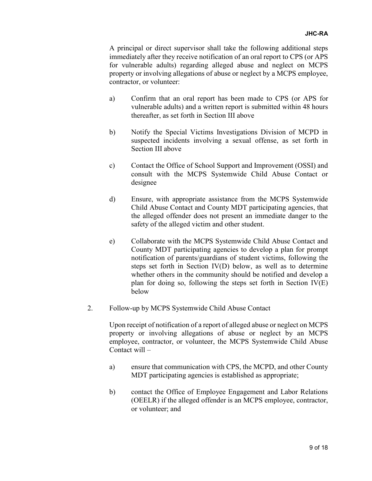A principal or direct supervisor shall take the following additional steps immediately after they receive notification of an oral report to CPS (or APS for vulnerable adults) regarding alleged abuse and neglect on MCPS property or involving allegations of abuse or neglect by a MCPS employee, contractor, or volunteer:

- a) Confirm that an oral report has been made to CPS (or APS for vulnerable adults) and a written report is submitted within 48 hours thereafter, as set forth in Section III above
- b) Notify the Special Victims Investigations Division of MCPD in suspected incidents involving a sexual offense, as set forth in Section III above
- c) Contact the Office of School Support and Improvement (OSSI) and consult with the MCPS Systemwide Child Abuse Contact or designee
- d) Ensure, with appropriate assistance from the MCPS Systemwide Child Abuse Contact and County MDT participating agencies, that the alleged offender does not present an immediate danger to the safety of the alleged victim and other student.
- e) Collaborate with the MCPS Systemwide Child Abuse Contact and County MDT participating agencies to develop a plan for prompt notification of parents/guardians of student victims, following the steps set forth in Section IV(D) below, as well as to determine whether others in the community should be notified and develop a plan for doing so, following the steps set forth in Section IV(E) below
- 2. Follow-up by MCPS Systemwide Child Abuse Contact

Upon receipt of notification of a report of alleged abuse or neglect on MCPS property or involving allegations of abuse or neglect by an MCPS employee, contractor, or volunteer, the MCPS Systemwide Child Abuse Contact will –

- a) ensure that communication with CPS, the MCPD, and other County MDT participating agencies is established as appropriate;
- b) contact the Office of Employee Engagement and Labor Relations (OEELR) if the alleged offender is an MCPS employee, contractor, or volunteer; and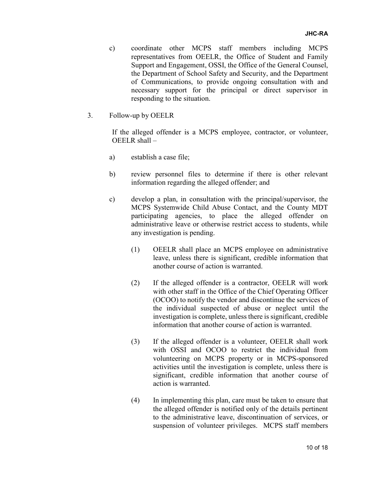- c) coordinate other MCPS staff members including MCPS representatives from OEELR, the Office of Student and Family Support and Engagement, OSSI, the Office of the General Counsel, the Department of School Safety and Security, and the Department of Communications, to provide ongoing consultation with and necessary support for the principal or direct supervisor in responding to the situation.
- 3. Follow-up by OEELR

If the alleged offender is a MCPS employee, contractor, or volunteer, OEELR shall –

- a) establish a case file;
- b) review personnel files to determine if there is other relevant information regarding the alleged offender; and
- c) develop a plan, in consultation with the principal/supervisor, the MCPS Systemwide Child Abuse Contact, and the County MDT participating agencies, to place the alleged offender on administrative leave or otherwise restrict access to students, while any investigation is pending.
	- (1) OEELR shall place an MCPS employee on administrative leave, unless there is significant, credible information that another course of action is warranted.
	- (2) If the alleged offender is a contractor, OEELR will work with other staff in the Office of the Chief Operating Officer (OCOO) to notify the vendor and discontinue the services of the individual suspected of abuse or neglect until the investigation is complete, unless there is significant, credible information that another course of action is warranted.
	- (3) If the alleged offender is a volunteer, OEELR shall work with OSSI and OCOO to restrict the individual from volunteering on MCPS property or in MCPS-sponsored activities until the investigation is complete, unless there is significant, credible information that another course of action is warranted.
	- (4) In implementing this plan, care must be taken to ensure that the alleged offender is notified only of the details pertinent to the administrative leave, discontinuation of services, or suspension of volunteer privileges. MCPS staff members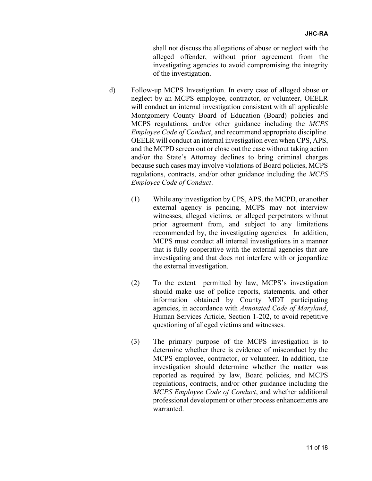shall not discuss the allegations of abuse or neglect with the alleged offender, without prior agreement from the investigating agencies to avoid compromising the integrity of the investigation.

- d) Follow-up MCPS Investigation. In every case of alleged abuse or neglect by an MCPS employee, contractor, or volunteer, OEELR will conduct an internal investigation consistent with all applicable Montgomery County Board of Education (Board) policies and MCPS regulations, and/or other guidance including the *MCPS Employee Code of Conduct*, and recommend appropriate discipline. OEELR will conduct an internal investigation even when CPS, APS, and the MCPD screen out or close out the case without taking action and/or the State's Attorney declines to bring criminal charges because such cases may involve violations of Board policies, MCPS regulations, contracts, and/or other guidance including the *MCPS Employee Code of Conduct*.
	- (1) While any investigation by CPS, APS, the MCPD, or another external agency is pending, MCPS may not interview witnesses, alleged victims, or alleged perpetrators without prior agreement from, and subject to any limitations recommended by, the investigating agencies. In addition, MCPS must conduct all internal investigations in a manner that is fully cooperative with the external agencies that are investigating and that does not interfere with or jeopardize the external investigation.
	- (2) To the extent permitted by law, MCPS's investigation should make use of police reports, statements, and other information obtained by County MDT participating agencies, in accordance with *Annotated Code of Maryland*, Human Services Article, Section 1-202, to avoid repetitive questioning of alleged victims and witnesses.
	- (3) The primary purpose of the MCPS investigation is to determine whether there is evidence of misconduct by the MCPS employee, contractor, or volunteer. In addition, the investigation should determine whether the matter was reported as required by law, Board policies, and MCPS regulations, contracts, and/or other guidance including the *MCPS Employee Code of Conduct*, and whether additional professional development or other process enhancements are warranted.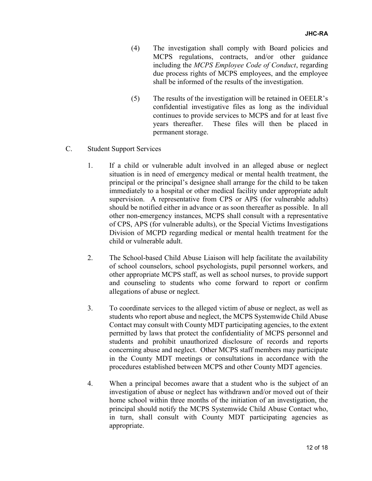- (4) The investigation shall comply with Board policies and MCPS regulations, contracts, and/or other guidance including the *MCPS Employee Code of Conduct*, regarding due process rights of MCPS employees, and the employee shall be informed of the results of the investigation.
- (5) The results of the investigation will be retained in OEELR's confidential investigative files as long as the individual continues to provide services to MCPS and for at least five years thereafter. These files will then be placed in permanent storage.
- C. Student Support Services
	- 1. If a child or vulnerable adult involved in an alleged abuse or neglect situation is in need of emergency medical or mental health treatment, the principal or the principal's designee shall arrange for the child to be taken immediately to a hospital or other medical facility under appropriate adult supervision. A representative from CPS or APS (for vulnerable adults) should be notified either in advance or as soon thereafter as possible. In all other non-emergency instances, MCPS shall consult with a representative of CPS, APS (for vulnerable adults), or the Special Victims Investigations Division of MCPD regarding medical or mental health treatment for the child or vulnerable adult.
	- 2. The School-based Child Abuse Liaison will help facilitate the availability of school counselors, school psychologists, pupil personnel workers, and other appropriate MCPS staff, as well as school nurses, to provide support and counseling to students who come forward to report or confirm allegations of abuse or neglect.
	- 3. To coordinate services to the alleged victim of abuse or neglect, as well as students who report abuse and neglect, the MCPS Systemwide Child Abuse Contact may consult with County MDT participating agencies, to the extent permitted by laws that protect the confidentiality of MCPS personnel and students and prohibit unauthorized disclosure of records and reports concerning abuse and neglect. Other MCPS staff members may participate in the County MDT meetings or consultations in accordance with the procedures established between MCPS and other County MDT agencies.
	- 4. When a principal becomes aware that a student who is the subject of an investigation of abuse or neglect has withdrawn and/or moved out of their home school within three months of the initiation of an investigation, the principal should notify the MCPS Systemwide Child Abuse Contact who, in turn, shall consult with County MDT participating agencies as appropriate.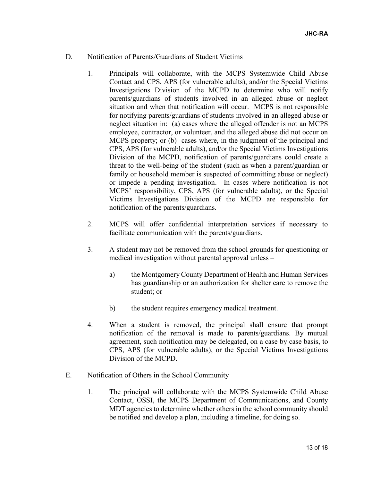- D. Notification of Parents/Guardians of Student Victims
	- 1. Principals will collaborate, with the MCPS Systemwide Child Abuse Contact and CPS, APS (for vulnerable adults), and/or the Special Victims Investigations Division of the MCPD to determine who will notify parents/guardians of students involved in an alleged abuse or neglect situation and when that notification will occur. MCPS is not responsible for notifying parents/guardians of students involved in an alleged abuse or neglect situation in: (a) cases where the alleged offender is not an MCPS employee, contractor, or volunteer, and the alleged abuse did not occur on MCPS property; or (b) cases where, in the judgment of the principal and CPS, APS (for vulnerable adults), and/or the Special Victims Investigations Division of the MCPD, notification of parents/guardians could create a threat to the well-being of the student (such as when a parent/guardian or family or household member is suspected of committing abuse or neglect) or impede a pending investigation. In cases where notification is not MCPS' responsibility, CPS, APS (for vulnerable adults), or the Special Victims Investigations Division of the MCPD are responsible for notification of the parents/guardians.
	- 2. MCPS will offer confidential interpretation services if necessary to facilitate communication with the parents/guardians.
	- 3. A student may not be removed from the school grounds for questioning or medical investigation without parental approval unless –
		- a) the Montgomery County Department of Health and Human Services has guardianship or an authorization for shelter care to remove the student; or
		- b) the student requires emergency medical treatment.
	- 4. When a student is removed, the principal shall ensure that prompt notification of the removal is made to parents/guardians. By mutual agreement, such notification may be delegated, on a case by case basis, to CPS, APS (for vulnerable adults), or the Special Victims Investigations Division of the MCPD.
- E. Notification of Others in the School Community
	- 1. The principal will collaborate with the MCPS Systemwide Child Abuse Contact, OSSI, the MCPS Department of Communications, and County MDT agencies to determine whether others in the school community should be notified and develop a plan, including a timeline, for doing so.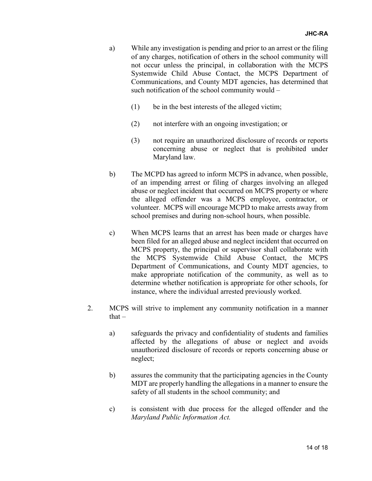- a) While any investigation is pending and prior to an arrest or the filing of any charges, notification of others in the school community will not occur unless the principal, in collaboration with the MCPS Systemwide Child Abuse Contact, the MCPS Department of Communications, and County MDT agencies, has determined that such notification of the school community would –
	- (1) be in the best interests of the alleged victim;
	- (2) not interfere with an ongoing investigation; or
	- (3) not require an unauthorized disclosure of records or reports concerning abuse or neglect that is prohibited under Maryland law.
- b) The MCPD has agreed to inform MCPS in advance, when possible, of an impending arrest or filing of charges involving an alleged abuse or neglect incident that occurred on MCPS property or where the alleged offender was a MCPS employee, contractor, or volunteer. MCPS will encourage MCPD to make arrests away from school premises and during non-school hours, when possible.
- c) When MCPS learns that an arrest has been made or charges have been filed for an alleged abuse and neglect incident that occurred on MCPS property, the principal or supervisor shall collaborate with the MCPS Systemwide Child Abuse Contact, the MCPS Department of Communications, and County MDT agencies, to make appropriate notification of the community, as well as to determine whether notification is appropriate for other schools, for instance, where the individual arrested previously worked.
- 2. MCPS will strive to implement any community notification in a manner that  $$ 
	- a) safeguards the privacy and confidentiality of students and families affected by the allegations of abuse or neglect and avoids unauthorized disclosure of records or reports concerning abuse or neglect;
	- b) assures the community that the participating agencies in the County MDT are properly handling the allegations in a manner to ensure the safety of all students in the school community; and
	- c) is consistent with due process for the alleged offender and the *Maryland Public Information Act.*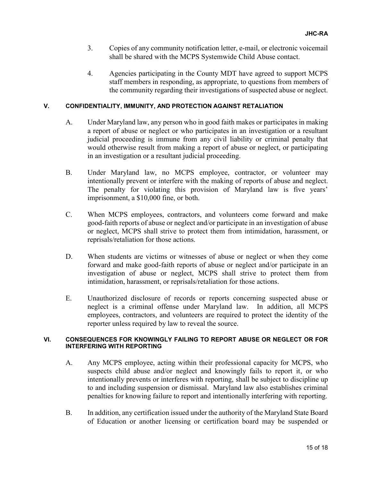- 3. Copies of any community notification letter, e-mail, or electronic voicemail shall be shared with the MCPS Systemwide Child Abuse contact.
- 4. Agencies participating in the County MDT have agreed to support MCPS staff members in responding, as appropriate, to questions from members of the community regarding their investigations of suspected abuse or neglect.

#### **V. CONFIDENTIALITY, IMMUNITY, AND PROTECTION AGAINST RETALIATION**

- A. Under Maryland law, any person who in good faith makes or participates in making a report of abuse or neglect or who participates in an investigation or a resultant judicial proceeding is immune from any civil liability or criminal penalty that would otherwise result from making a report of abuse or neglect, or participating in an investigation or a resultant judicial proceeding.
- B. Under Maryland law, no MCPS employee, contractor, or volunteer may intentionally prevent or interfere with the making of reports of abuse and neglect. The penalty for violating this provision of Maryland law is five years' imprisonment, a \$10,000 fine, or both.
- C. When MCPS employees, contractors, and volunteers come forward and make good-faith reports of abuse or neglect and/or participate in an investigation of abuse or neglect, MCPS shall strive to protect them from intimidation, harassment, or reprisals/retaliation for those actions.
- D. When students are victims or witnesses of abuse or neglect or when they come forward and make good-faith reports of abuse or neglect and/or participate in an investigation of abuse or neglect, MCPS shall strive to protect them from intimidation, harassment, or reprisals/retaliation for those actions.
- E. Unauthorized disclosure of records or reports concerning suspected abuse or neglect is a criminal offense under Maryland law. In addition, all MCPS employees, contractors, and volunteers are required to protect the identity of the reporter unless required by law to reveal the source.

#### **VI. CONSEQUENCES FOR KNOWINGLY FAILING TO REPORT ABUSE OR NEGLECT OR FOR INTERFERING WITH REPORTING**

- A. Any MCPS employee, acting within their professional capacity for MCPS, who suspects child abuse and/or neglect and knowingly fails to report it, or who intentionally prevents or interferes with reporting, shall be subject to discipline up to and including suspension or dismissal. Maryland law also establishes criminal penalties for knowing failure to report and intentionally interfering with reporting.
- B. In addition, any certification issued under the authority of the Maryland State Board of Education or another licensing or certification board may be suspended or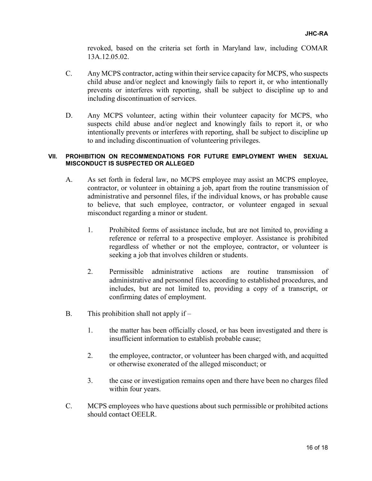revoked, based on the criteria set forth in Maryland law, including COMAR 13A.12.05.02.

- C. Any MCPS contractor, acting within their service capacity for MCPS, who suspects child abuse and/or neglect and knowingly fails to report it, or who intentionally prevents or interferes with reporting, shall be subject to discipline up to and including discontinuation of services.
- D. Any MCPS volunteer, acting within their volunteer capacity for MCPS, who suspects child abuse and/or neglect and knowingly fails to report it, or who intentionally prevents or interferes with reporting, shall be subject to discipline up to and including discontinuation of volunteering privileges.

#### **VII. PROHIBITION ON RECOMMENDATIONS FOR FUTURE EMPLOYMENT WHEN SEXUAL MISCONDUCT IS SUSPECTED OR ALLEGED**

- A. As set forth in federal law, no MCPS employee may assist an MCPS employee, contractor, or volunteer in obtaining a job, apart from the routine transmission of administrative and personnel files, if the individual knows, or has probable cause to believe, that such employee, contractor, or volunteer engaged in sexual misconduct regarding a minor or student.
	- 1. Prohibited forms of assistance include, but are not limited to, providing a reference or referral to a prospective employer. Assistance is prohibited regardless of whether or not the employee, contractor, or volunteer is seeking a job that involves children or students.
	- 2. Permissible administrative actions are routine transmission of administrative and personnel files according to established procedures, and includes, but are not limited to, providing a copy of a transcript, or confirming dates of employment.
- B. This prohibition shall not apply if
	- 1. the matter has been officially closed, or has been investigated and there is insufficient information to establish probable cause;
	- 2. the employee, contractor, or volunteer has been charged with, and acquitted or otherwise exonerated of the alleged misconduct; or
	- 3. the case or investigation remains open and there have been no charges filed within four years.
- C. MCPS employees who have questions about such permissible or prohibited actions should contact OEELR.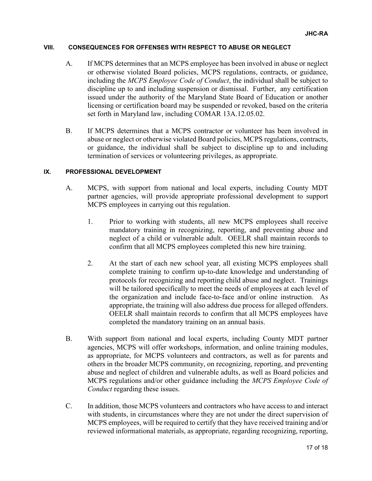### **VIII. CONSEQUENCES FOR OFFENSES WITH RESPECT TO ABUSE OR NEGLECT**

- A. If MCPS determines that an MCPS employee has been involved in abuse or neglect or otherwise violated Board policies, MCPS regulations, contracts, or guidance, including the *MCPS Employee Code of Conduct*, the individual shall be subject to discipline up to and including suspension or dismissal. Further, any certification issued under the authority of the Maryland State Board of Education or another licensing or certification board may be suspended or revoked, based on the criteria set forth in Maryland law, including COMAR 13A.12.05.02.
- B. If MCPS determines that a MCPS contractor or volunteer has been involved in abuse or neglect or otherwise violated Board policies, MCPS regulations, contracts, or guidance, the individual shall be subject to discipline up to and including termination of services or volunteering privileges, as appropriate.

#### **IX. PROFESSIONAL DEVELOPMENT**

- A. MCPS, with support from national and local experts, including County MDT partner agencies, will provide appropriate professional development to support MCPS employees in carrying out this regulation.
	- 1. Prior to working with students, all new MCPS employees shall receive mandatory training in recognizing, reporting, and preventing abuse and neglect of a child or vulnerable adult. OEELR shall maintain records to confirm that all MCPS employees completed this new hire training.
	- 2. At the start of each new school year, all existing MCPS employees shall complete training to confirm up-to-date knowledge and understanding of protocols for recognizing and reporting child abuse and neglect. Trainings will be tailored specifically to meet the needs of employees at each level of the organization and include face-to-face and/or online instruction. As appropriate, the training will also address due process for alleged offenders. OEELR shall maintain records to confirm that all MCPS employees have completed the mandatory training on an annual basis.
- B. With support from national and local experts, including County MDT partner agencies, MCPS will offer workshops, information, and online training modules, as appropriate, for MCPS volunteers and contractors, as well as for parents and others in the broader MCPS community, on recognizing, reporting, and preventing abuse and neglect of children and vulnerable adults, as well as Board policies and MCPS regulations and/or other guidance including the *MCPS Employee Code of Conduct* regarding these issues.
- C. In addition, those MCPS volunteers and contractors who have access to and interact with students, in circumstances where they are not under the direct supervision of MCPS employees, will be required to certify that they have received training and/or reviewed informational materials, as appropriate, regarding recognizing, reporting,